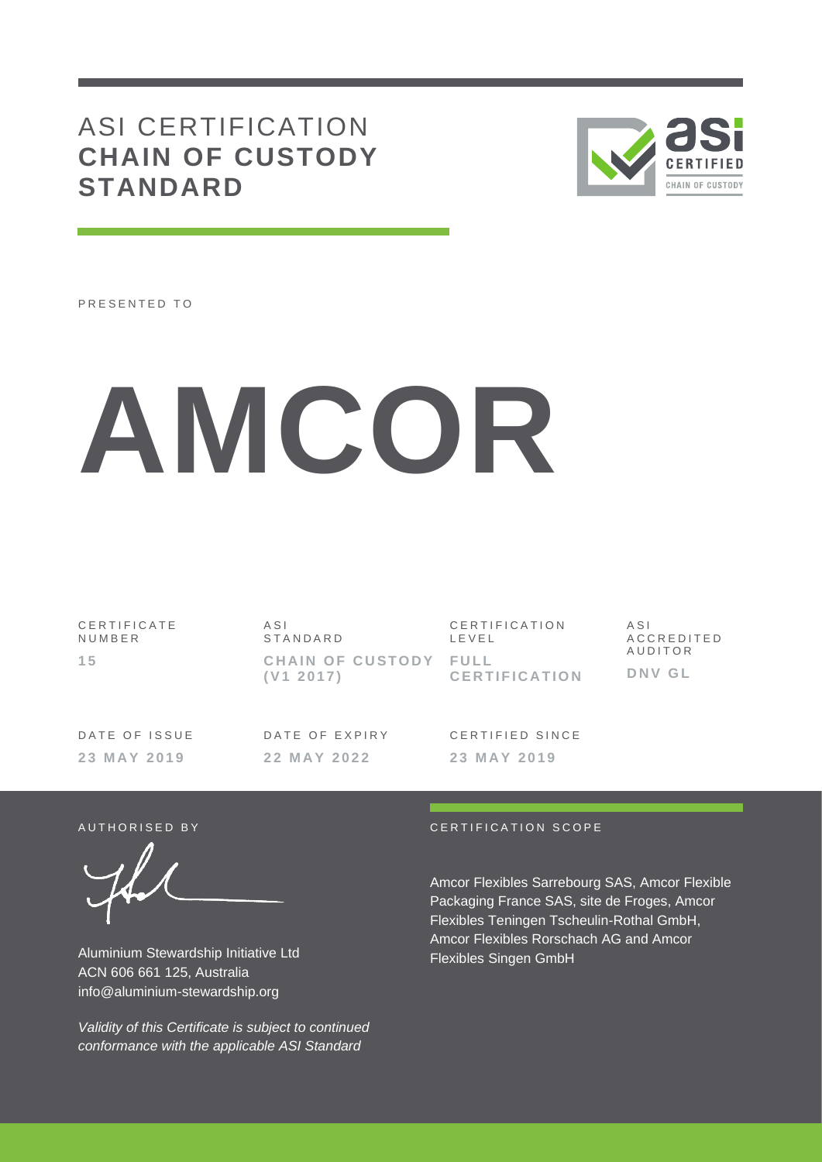# ASI CERTIFICATION **CHAIN OF CUSTODY STANDARD**



PRESENTED TO

# **AMCOR**

**2 2 M A Y 2 0 2 2**

| CERTIFICATE<br>NUMBER | ASI<br>STANDARD                    | CERTIFICATION<br>LEVEL | ASI<br>ACCREDITED |
|-----------------------|------------------------------------|------------------------|-------------------|
| 15                    | CHAIN OF CUSTODY FULL<br>(V1 2017) | <b>CERTIFICATION</b>   | AUDITOR<br>DNV GL |
| DATE OF ISSUE         | DATE OF EXPIRY                     | CERTIFIED SINCE        |                   |

**2 3 M A Y 2 0 1 9**

Aluminium Stewardship Initiative Ltd ACN 606 661 125, Australia info@aluminium-stewardship.org

*Validity of this Certificate is subject to continued conformance with the applicable ASI Standard* 

#### AUTHORISED BY CERTIFICATION SCOPE

**2 3 M A Y 2 0 1 9**

Amcor Flexibles Sarrebourg SAS, Amcor Flexible Packaging France SAS, site de Froges, Amcor Flexibles Teningen Tscheulin-Rothal GmbH, Amcor Flexibles Rorschach AG and Amcor Flexibles Singen GmbH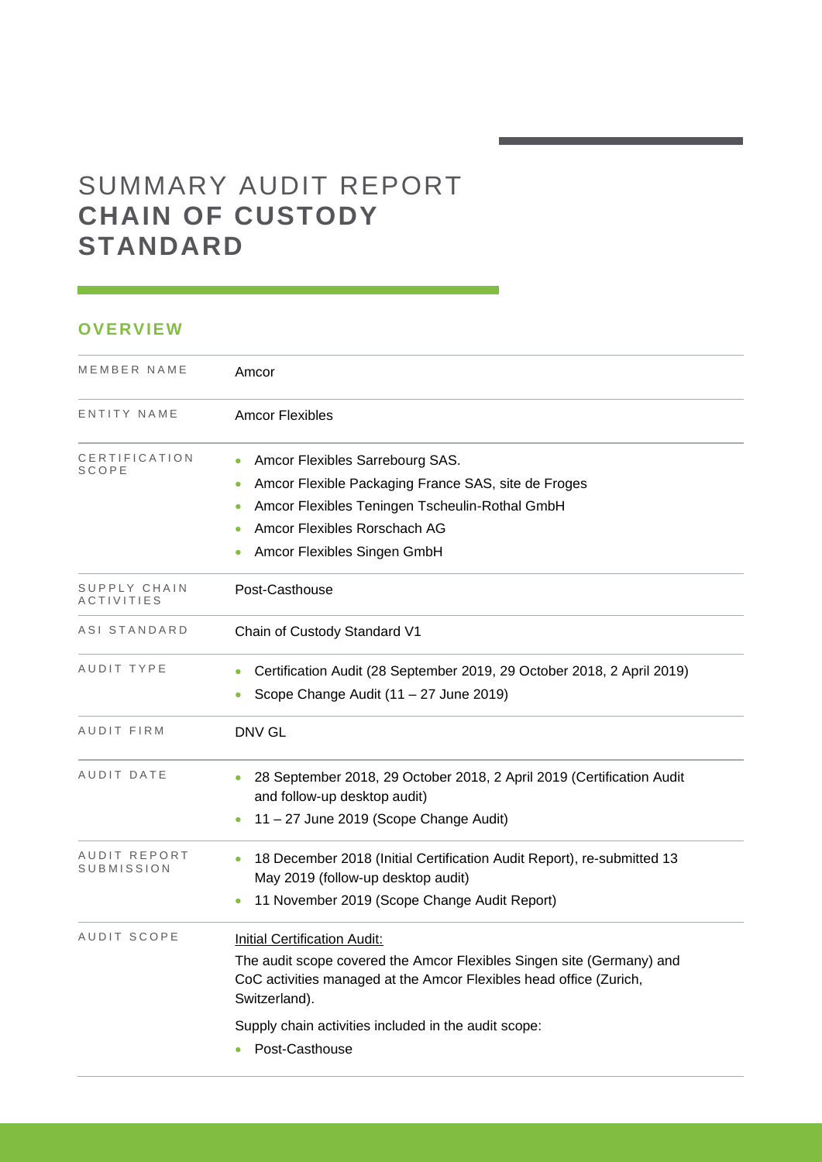# SUMMARY AUDIT REPORT **CHAIN OF CUSTODY STANDARD**

## **OVERVIEW**

| MEMBER NAME                | Amcor                                                                                                                                                                                                                                                                         |
|----------------------------|-------------------------------------------------------------------------------------------------------------------------------------------------------------------------------------------------------------------------------------------------------------------------------|
| ENTITY NAME                | <b>Amcor Flexibles</b>                                                                                                                                                                                                                                                        |
| CERTIFICATION<br>SCOPE     | Amcor Flexibles Sarrebourg SAS.<br>Amcor Flexible Packaging France SAS, site de Froges<br>Amcor Flexibles Teningen Tscheulin-Rothal GmbH<br>Amcor Flexibles Rorschach AG<br>Amcor Flexibles Singen GmbH                                                                       |
| SUPPLY CHAIN<br>ACTIVITIES | Post-Casthouse                                                                                                                                                                                                                                                                |
| ASI STANDARD               | Chain of Custody Standard V1                                                                                                                                                                                                                                                  |
| AUDIT TYPE                 | Certification Audit (28 September 2019, 29 October 2018, 2 April 2019)<br>Scope Change Audit (11 - 27 June 2019)                                                                                                                                                              |
| <b>AUDIT FIRM</b>          | <b>DNV GL</b>                                                                                                                                                                                                                                                                 |
| AUDIT DATE                 | 28 September 2018, 29 October 2018, 2 April 2019 (Certification Audit<br>and follow-up desktop audit)<br>11 - 27 June 2019 (Scope Change Audit)                                                                                                                               |
| AUDIT REPORT<br>SUBMISSION | 18 December 2018 (Initial Certification Audit Report), re-submitted 13<br>$\bullet$<br>May 2019 (follow-up desktop audit)<br>11 November 2019 (Scope Change Audit Report)                                                                                                     |
| AUDIT SCOPE                | <b>Initial Certification Audit:</b><br>The audit scope covered the Amcor Flexibles Singen site (Germany) and<br>CoC activities managed at the Amcor Flexibles head office (Zurich,<br>Switzerland).<br>Supply chain activities included in the audit scope:<br>Post-Casthouse |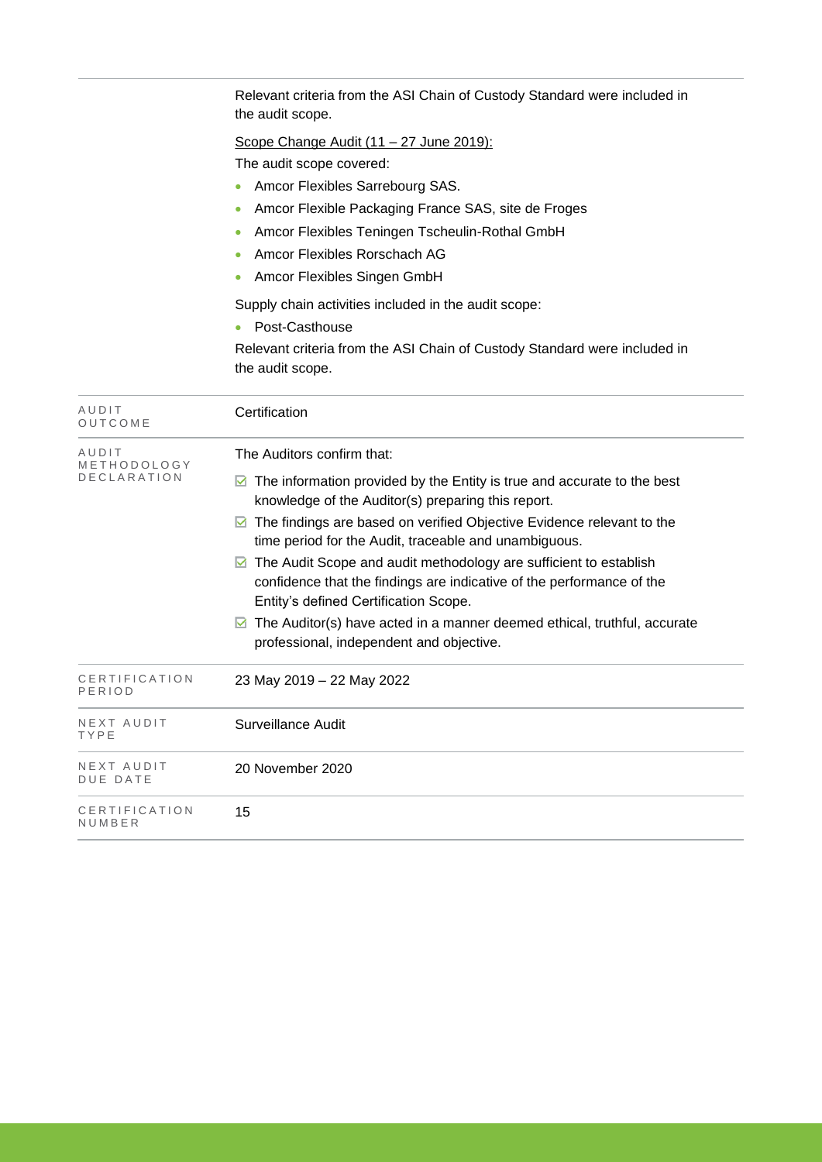|                                     | Relevant criteria from the ASI Chain of Custody Standard were included in<br>the audit scope.                                                                                                                                                                                                                                                                                                                                                                                                                                                                                                                                           |
|-------------------------------------|-----------------------------------------------------------------------------------------------------------------------------------------------------------------------------------------------------------------------------------------------------------------------------------------------------------------------------------------------------------------------------------------------------------------------------------------------------------------------------------------------------------------------------------------------------------------------------------------------------------------------------------------|
|                                     | Scope Change Audit (11 - 27 June 2019):<br>The audit scope covered:<br>Amcor Flexibles Sarrebourg SAS.<br>Amcor Flexible Packaging France SAS, site de Froges<br>Amcor Flexibles Teningen Tscheulin-Rothal GmbH<br>Amcor Flexibles Rorschach AG<br>Amcor Flexibles Singen GmbH                                                                                                                                                                                                                                                                                                                                                          |
|                                     | Supply chain activities included in the audit scope:<br>Post-Casthouse<br>Relevant criteria from the ASI Chain of Custody Standard were included in<br>the audit scope.                                                                                                                                                                                                                                                                                                                                                                                                                                                                 |
| AUDIT<br>OUTCOME                    | Certification                                                                                                                                                                                                                                                                                                                                                                                                                                                                                                                                                                                                                           |
| AUDIT<br>METHODOLOGY<br>DECLARATION | The Auditors confirm that:<br>$\blacksquare$ The information provided by the Entity is true and accurate to the best<br>knowledge of the Auditor(s) preparing this report.<br>The findings are based on verified Objective Evidence relevant to the<br>M<br>time period for the Audit, traceable and unambiguous.<br>◘ The Audit Scope and audit methodology are sufficient to establish<br>confidence that the findings are indicative of the performance of the<br>Entity's defined Certification Scope.<br>The Auditor(s) have acted in a manner deemed ethical, truthful, accurate<br>M<br>professional, independent and objective. |
| CERTIFICATION<br>PERIOD             | 23 May 2019 - 22 May 2022                                                                                                                                                                                                                                                                                                                                                                                                                                                                                                                                                                                                               |
| NEXT AUDIT<br>TYPE                  | Surveillance Audit                                                                                                                                                                                                                                                                                                                                                                                                                                                                                                                                                                                                                      |
| NEXT AUDIT<br><b>DUE DATE</b>       | 20 November 2020                                                                                                                                                                                                                                                                                                                                                                                                                                                                                                                                                                                                                        |
| CERTIFICATION<br>NUMBER             | 15                                                                                                                                                                                                                                                                                                                                                                                                                                                                                                                                                                                                                                      |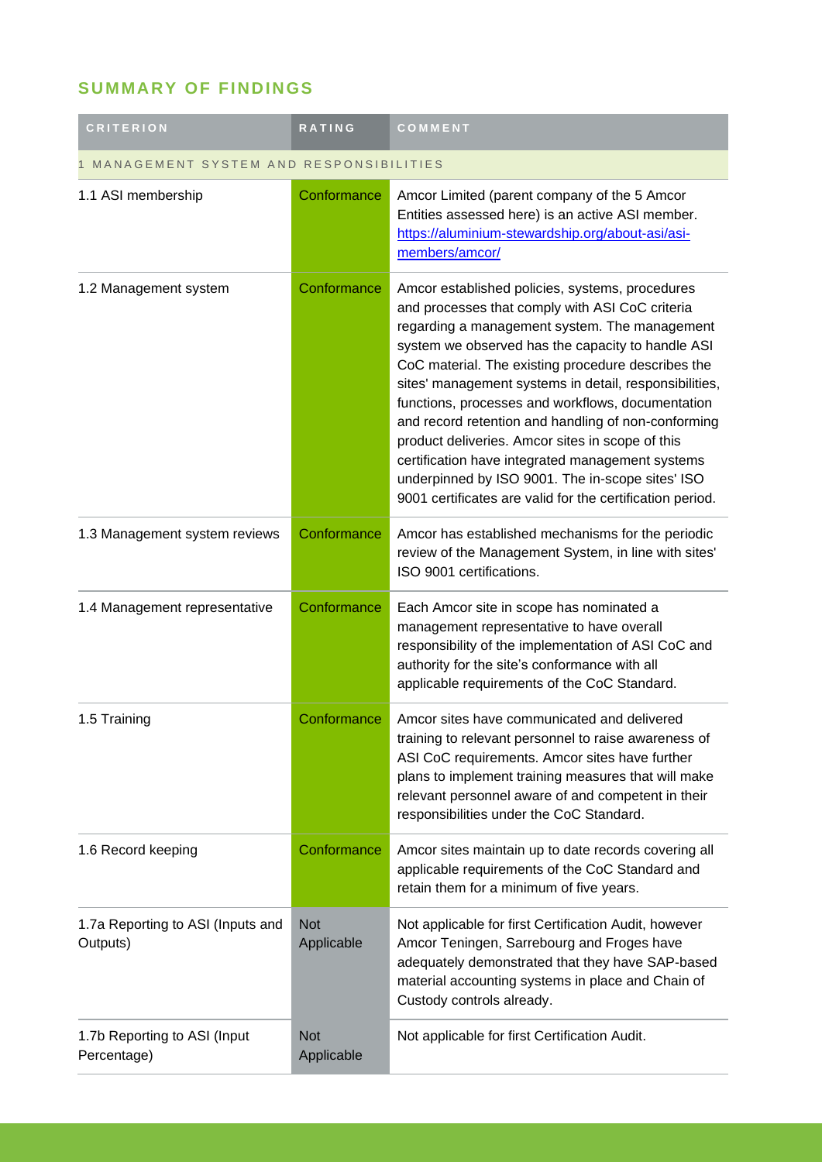# **SUMMARY OF FINDINGS**

| <b>CRITERION</b>                              | <b>RATING</b>            | COMMENT                                                                                                                                                                                                                                                                                                                                                                                                                                                                                                                                                                                                                                                       |
|-----------------------------------------------|--------------------------|---------------------------------------------------------------------------------------------------------------------------------------------------------------------------------------------------------------------------------------------------------------------------------------------------------------------------------------------------------------------------------------------------------------------------------------------------------------------------------------------------------------------------------------------------------------------------------------------------------------------------------------------------------------|
| MANAGEMENT SYSTEM AND RESPONSIBILITIES        |                          |                                                                                                                                                                                                                                                                                                                                                                                                                                                                                                                                                                                                                                                               |
| 1.1 ASI membership                            | Conformance              | Amcor Limited (parent company of the 5 Amcor<br>Entities assessed here) is an active ASI member.<br>https://aluminium-stewardship.org/about-asi/asi-<br>members/amcor/                                                                                                                                                                                                                                                                                                                                                                                                                                                                                        |
| 1.2 Management system                         | Conformance              | Amcor established policies, systems, procedures<br>and processes that comply with ASI CoC criteria<br>regarding a management system. The management<br>system we observed has the capacity to handle ASI<br>CoC material. The existing procedure describes the<br>sites' management systems in detail, responsibilities,<br>functions, processes and workflows, documentation<br>and record retention and handling of non-conforming<br>product deliveries. Amcor sites in scope of this<br>certification have integrated management systems<br>underpinned by ISO 9001. The in-scope sites' ISO<br>9001 certificates are valid for the certification period. |
| 1.3 Management system reviews                 | Conformance              | Amcor has established mechanisms for the periodic<br>review of the Management System, in line with sites'<br>ISO 9001 certifications.                                                                                                                                                                                                                                                                                                                                                                                                                                                                                                                         |
| 1.4 Management representative                 | Conformance              | Each Amcor site in scope has nominated a<br>management representative to have overall<br>responsibility of the implementation of ASI CoC and<br>authority for the site's conformance with all<br>applicable requirements of the CoC Standard.                                                                                                                                                                                                                                                                                                                                                                                                                 |
| 1.5 Training                                  | Conformance              | Amcor sites have communicated and delivered<br>training to relevant personnel to raise awareness of<br>ASI CoC requirements. Amcor sites have further<br>plans to implement training measures that will make<br>relevant personnel aware of and competent in their<br>responsibilities under the CoC Standard.                                                                                                                                                                                                                                                                                                                                                |
| 1.6 Record keeping                            | Conformance              | Amcor sites maintain up to date records covering all<br>applicable requirements of the CoC Standard and<br>retain them for a minimum of five years.                                                                                                                                                                                                                                                                                                                                                                                                                                                                                                           |
| 1.7a Reporting to ASI (Inputs and<br>Outputs) | <b>Not</b><br>Applicable | Not applicable for first Certification Audit, however<br>Amcor Teningen, Sarrebourg and Froges have<br>adequately demonstrated that they have SAP-based<br>material accounting systems in place and Chain of<br>Custody controls already.                                                                                                                                                                                                                                                                                                                                                                                                                     |
| 1.7b Reporting to ASI (Input)<br>Percentage)  | <b>Not</b><br>Applicable | Not applicable for first Certification Audit.                                                                                                                                                                                                                                                                                                                                                                                                                                                                                                                                                                                                                 |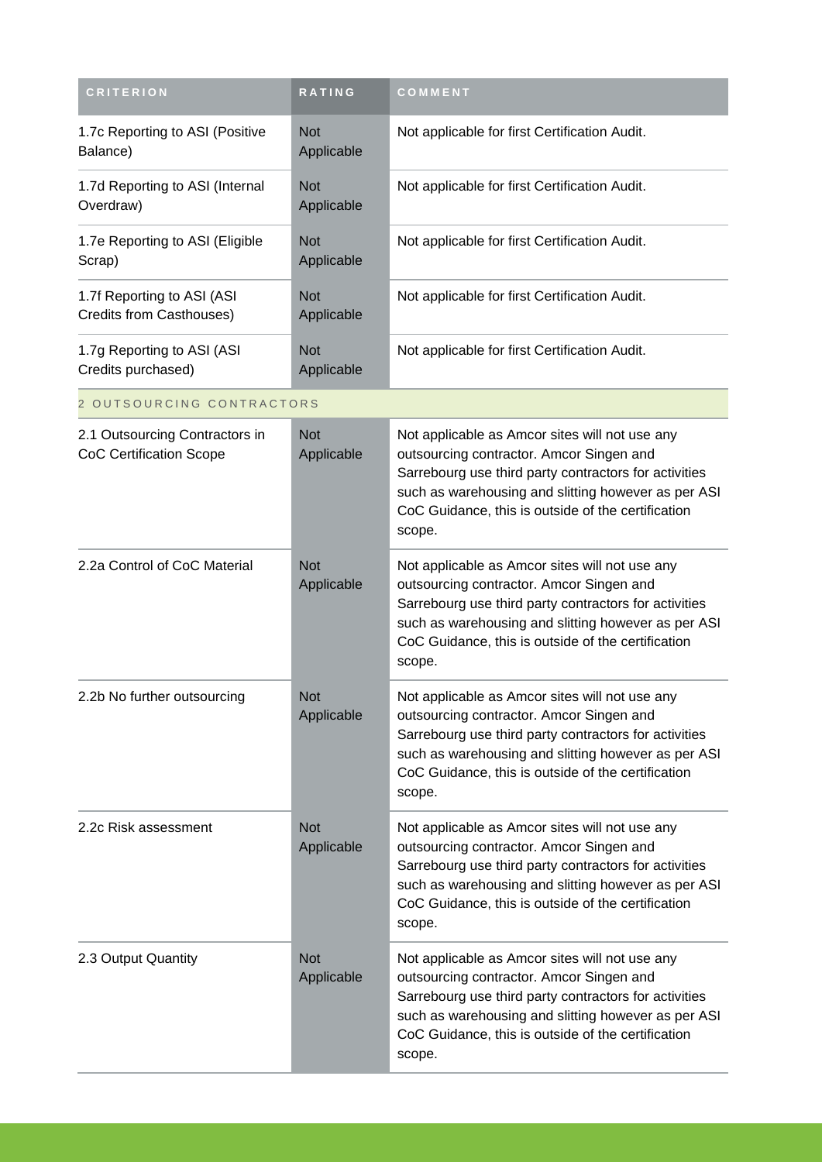| <b>CRITERION</b>                                                 | <b>RATING</b>            | COMMENT                                                                                                                                                                                                                                                                    |
|------------------------------------------------------------------|--------------------------|----------------------------------------------------------------------------------------------------------------------------------------------------------------------------------------------------------------------------------------------------------------------------|
| 1.7c Reporting to ASI (Positive<br>Balance)                      | <b>Not</b><br>Applicable | Not applicable for first Certification Audit.                                                                                                                                                                                                                              |
| 1.7d Reporting to ASI (Internal<br>Overdraw)                     | <b>Not</b><br>Applicable | Not applicable for first Certification Audit.                                                                                                                                                                                                                              |
| 1.7e Reporting to ASI (Eligible<br>Scrap)                        | <b>Not</b><br>Applicable | Not applicable for first Certification Audit.                                                                                                                                                                                                                              |
| 1.7f Reporting to ASI (ASI<br>Credits from Casthouses)           | <b>Not</b><br>Applicable | Not applicable for first Certification Audit.                                                                                                                                                                                                                              |
| 1.7g Reporting to ASI (ASI<br>Credits purchased)                 | <b>Not</b><br>Applicable | Not applicable for first Certification Audit.                                                                                                                                                                                                                              |
| 2 OUTSOURCING CONTRACTORS                                        |                          |                                                                                                                                                                                                                                                                            |
| 2.1 Outsourcing Contractors in<br><b>CoC Certification Scope</b> | <b>Not</b><br>Applicable | Not applicable as Amcor sites will not use any<br>outsourcing contractor. Amcor Singen and<br>Sarrebourg use third party contractors for activities<br>such as warehousing and slitting however as per ASI<br>CoC Guidance, this is outside of the certification<br>scope. |
| 2.2a Control of CoC Material                                     | <b>Not</b><br>Applicable | Not applicable as Amcor sites will not use any<br>outsourcing contractor. Amcor Singen and<br>Sarrebourg use third party contractors for activities<br>such as warehousing and slitting however as per ASI<br>CoC Guidance, this is outside of the certification<br>scope. |
| 2.2b No further outsourcing                                      | <b>Not</b><br>Applicable | Not applicable as Amcor sites will not use any<br>outsourcing contractor. Amcor Singen and<br>Sarrebourg use third party contractors for activities<br>such as warehousing and slitting however as per ASI<br>CoC Guidance, this is outside of the certification<br>scope. |
| 2.2c Risk assessment                                             | <b>Not</b><br>Applicable | Not applicable as Amcor sites will not use any<br>outsourcing contractor. Amcor Singen and<br>Sarrebourg use third party contractors for activities<br>such as warehousing and slitting however as per ASI<br>CoC Guidance, this is outside of the certification<br>scope. |
| 2.3 Output Quantity                                              | <b>Not</b><br>Applicable | Not applicable as Amcor sites will not use any<br>outsourcing contractor. Amcor Singen and<br>Sarrebourg use third party contractors for activities<br>such as warehousing and slitting however as per ASI<br>CoC Guidance, this is outside of the certification<br>scope. |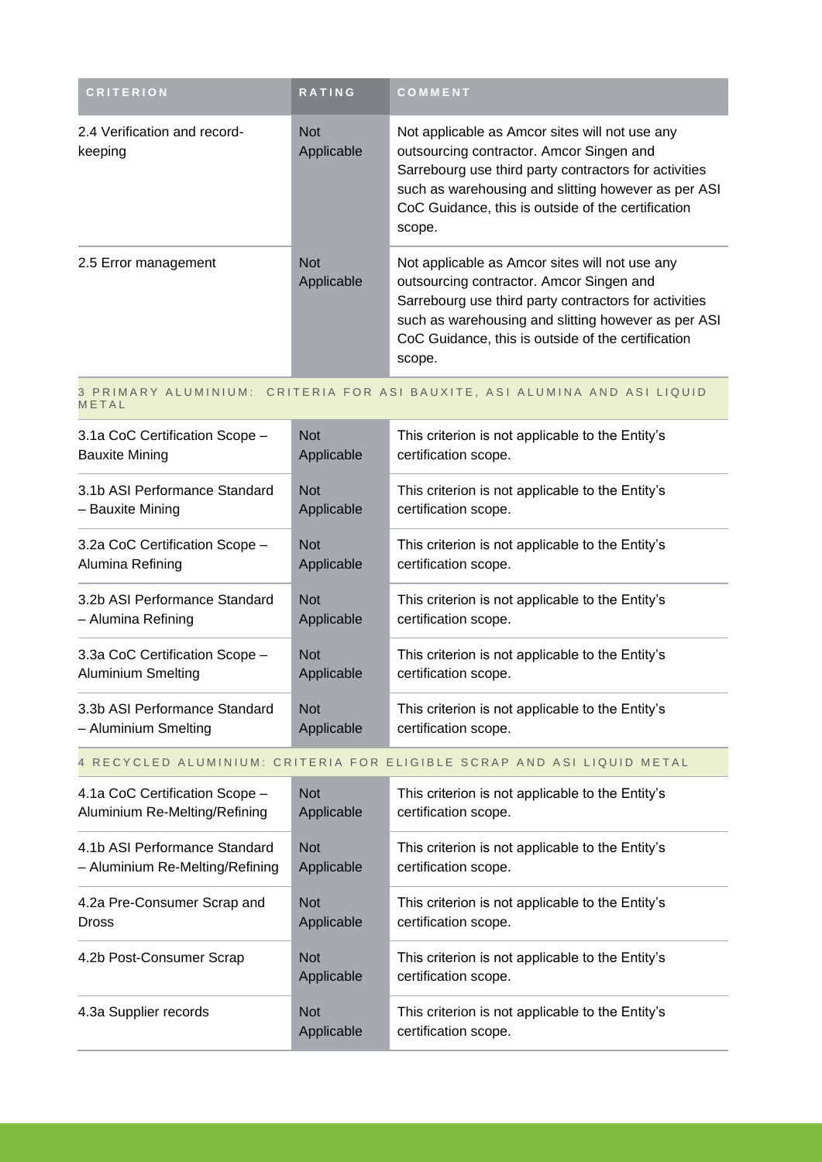| <b>CRITERION</b>                        | <b>RATING</b>            | <b>COMMENT</b>                                                                                                                                                                                                                                                             |
|-----------------------------------------|--------------------------|----------------------------------------------------------------------------------------------------------------------------------------------------------------------------------------------------------------------------------------------------------------------------|
| 2.4 Verification and record-<br>keeping | <b>Not</b><br>Applicable | Not applicable as Amcor sites will not use any<br>outsourcing contractor. Amcor Singen and<br>Sarrebourg use third party contractors for activities<br>such as warehousing and slitting however as per ASI<br>CoC Guidance, this is outside of the certification<br>scope. |
| 2.5 Error management                    | <b>Not</b><br>Applicable | Not applicable as Amcor sites will not use any<br>outsourcing contractor. Amcor Singen and<br>Sarrebourg use third party contractors for activities<br>such as warehousing and slitting however as per ASI<br>CoC Guidance, this is outside of the certification<br>scope. |

#### 3 PRIMARY ALUMINIUM: CRITERIA FOR ASI BAUXITE, ASI ALUMINA AND ASI LIQUID **METAL**

| 3.1a CoC Certification Scope - | <b>Not</b> | This criterion is not applicable to the Entity's |
|--------------------------------|------------|--------------------------------------------------|
| <b>Bauxite Mining</b>          | Applicable | certification scope.                             |
| 3.1b ASI Performance Standard  | <b>Not</b> | This criterion is not applicable to the Entity's |
| - Bauxite Mining               | Applicable | certification scope.                             |
| 3.2a CoC Certification Scope - | <b>Not</b> | This criterion is not applicable to the Entity's |
| Alumina Refining               | Applicable | certification scope.                             |
| 3.2b ASI Performance Standard  | <b>Not</b> | This criterion is not applicable to the Entity's |
| – Alumina Refining             | Applicable | certification scope.                             |
| 3.3a CoC Certification Scope - | <b>Not</b> | This criterion is not applicable to the Entity's |
| <b>Aluminium Smelting</b>      | Applicable | certification scope.                             |
| 3.3b ASI Performance Standard  | <b>Not</b> | This criterion is not applicable to the Entity's |
| - Aluminium Smelting           | Applicable | certification scope.                             |

## 4 RECYCLED ALUMINIUM: CRITERIA FOR ELIGIBLE SCRAP AND ASI LIQUID METAL

| 4.1a CoC Certification Scope -  | <b>Not</b>               | This criterion is not applicable to the Entity's                         |
|---------------------------------|--------------------------|--------------------------------------------------------------------------|
| Aluminium Re-Melting/Refining   | Applicable               | certification scope.                                                     |
| 4.1b ASI Performance Standard   | <b>Not</b>               | This criterion is not applicable to the Entity's                         |
| - Aluminium Re-Melting/Refining | Applicable               | certification scope.                                                     |
| 4.2a Pre-Consumer Scrap and     | <b>Not</b>               | This criterion is not applicable to the Entity's                         |
| <b>Dross</b>                    | Applicable               | certification scope.                                                     |
| 4.2b Post-Consumer Scrap        | <b>Not</b><br>Applicable | This criterion is not applicable to the Entity's<br>certification scope. |
| 4.3a Supplier records           | <b>Not</b><br>Applicable | This criterion is not applicable to the Entity's<br>certification scope. |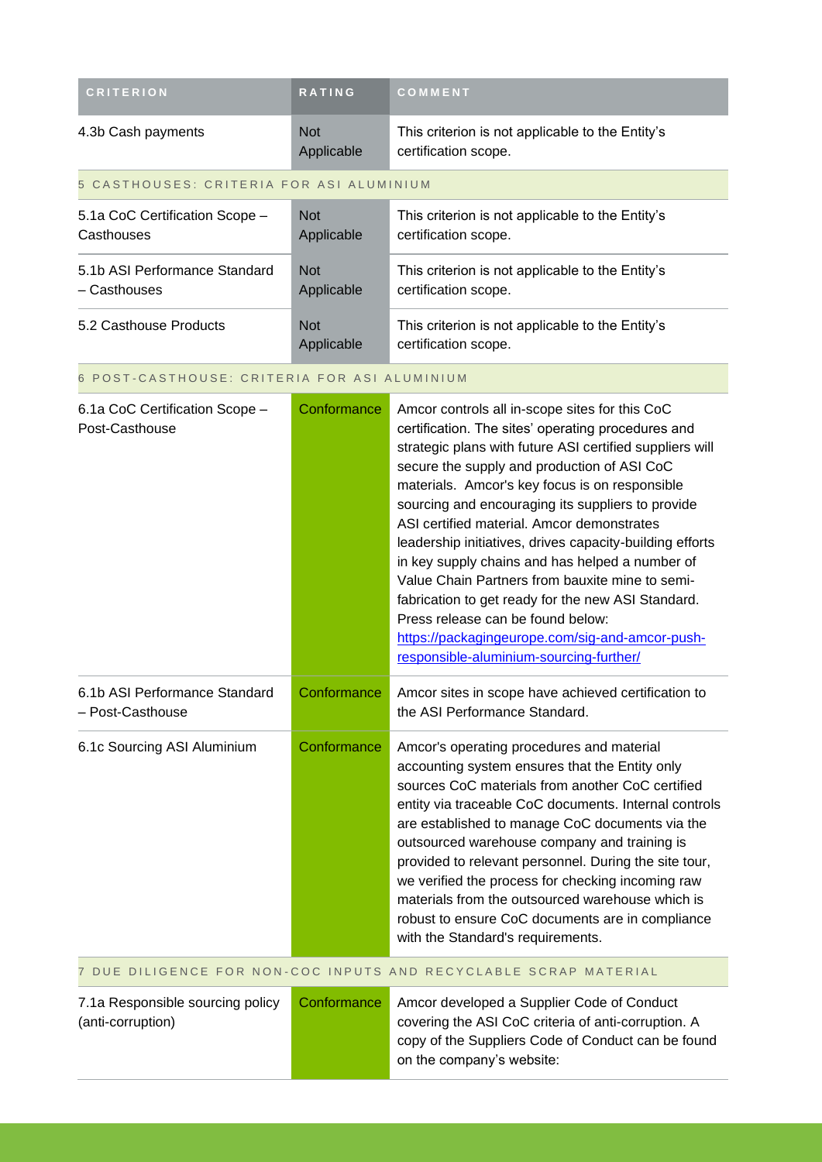| <b>CRITERION</b>                                      | RATING                   | COMMENT                                                                                                                                                                                                                                                                                                                                                                                                                                                                                                                                                                                                                                                                                                                         |
|-------------------------------------------------------|--------------------------|---------------------------------------------------------------------------------------------------------------------------------------------------------------------------------------------------------------------------------------------------------------------------------------------------------------------------------------------------------------------------------------------------------------------------------------------------------------------------------------------------------------------------------------------------------------------------------------------------------------------------------------------------------------------------------------------------------------------------------|
| 4.3b Cash payments                                    | <b>Not</b><br>Applicable | This criterion is not applicable to the Entity's<br>certification scope.                                                                                                                                                                                                                                                                                                                                                                                                                                                                                                                                                                                                                                                        |
| 5 CASTHOUSES: CRITERIA FOR ASI ALUMINIUM              |                          |                                                                                                                                                                                                                                                                                                                                                                                                                                                                                                                                                                                                                                                                                                                                 |
| 5.1a CoC Certification Scope -<br>Casthouses          | <b>Not</b><br>Applicable | This criterion is not applicable to the Entity's<br>certification scope.                                                                                                                                                                                                                                                                                                                                                                                                                                                                                                                                                                                                                                                        |
| 5.1b ASI Performance Standard<br>- Casthouses         | <b>Not</b><br>Applicable | This criterion is not applicable to the Entity's<br>certification scope.                                                                                                                                                                                                                                                                                                                                                                                                                                                                                                                                                                                                                                                        |
| 5.2 Casthouse Products                                | <b>Not</b><br>Applicable | This criterion is not applicable to the Entity's<br>certification scope.                                                                                                                                                                                                                                                                                                                                                                                                                                                                                                                                                                                                                                                        |
| 6 POST-CASTHOUSE: CRITERIA FOR ASI ALUMINIUM          |                          |                                                                                                                                                                                                                                                                                                                                                                                                                                                                                                                                                                                                                                                                                                                                 |
| 6.1a CoC Certification Scope -<br>Post-Casthouse      | Conformance              | Amcor controls all in-scope sites for this CoC<br>certification. The sites' operating procedures and<br>strategic plans with future ASI certified suppliers will<br>secure the supply and production of ASI CoC<br>materials. Amcor's key focus is on responsible<br>sourcing and encouraging its suppliers to provide<br>ASI certified material. Amcor demonstrates<br>leadership initiatives, drives capacity-building efforts<br>in key supply chains and has helped a number of<br>Value Chain Partners from bauxite mine to semi-<br>fabrication to get ready for the new ASI Standard.<br>Press release can be found below:<br>https://packagingeurope.com/sig-and-amcor-push-<br>responsible-aluminium-sourcing-further/ |
| 6.1b ASI Performance Standard<br>- Post-Casthouse     | Conformance              | Amcor sites in scope have achieved certification to<br>the ASI Performance Standard.                                                                                                                                                                                                                                                                                                                                                                                                                                                                                                                                                                                                                                            |
| 6.1c Sourcing ASI Aluminium                           | Conformance              | Amcor's operating procedures and material<br>accounting system ensures that the Entity only<br>sources CoC materials from another CoC certified<br>entity via traceable CoC documents. Internal controls<br>are established to manage CoC documents via the<br>outsourced warehouse company and training is<br>provided to relevant personnel. During the site tour,<br>we verified the process for checking incoming raw<br>materials from the outsourced warehouse which is<br>robust to ensure CoC documents are in compliance<br>with the Standard's requirements.                                                                                                                                                          |
|                                                       |                          | 7 DUE DILIGENCE FOR NON-COC INPUTS AND RECYCLABLE SCRAP MATERIAL                                                                                                                                                                                                                                                                                                                                                                                                                                                                                                                                                                                                                                                                |
| 7.1a Responsible sourcing policy<br>(anti-corruption) | Conformance              | Amcor developed a Supplier Code of Conduct<br>covering the ASI CoC criteria of anti-corruption. A<br>copy of the Suppliers Code of Conduct can be found<br>on the company's website:                                                                                                                                                                                                                                                                                                                                                                                                                                                                                                                                            |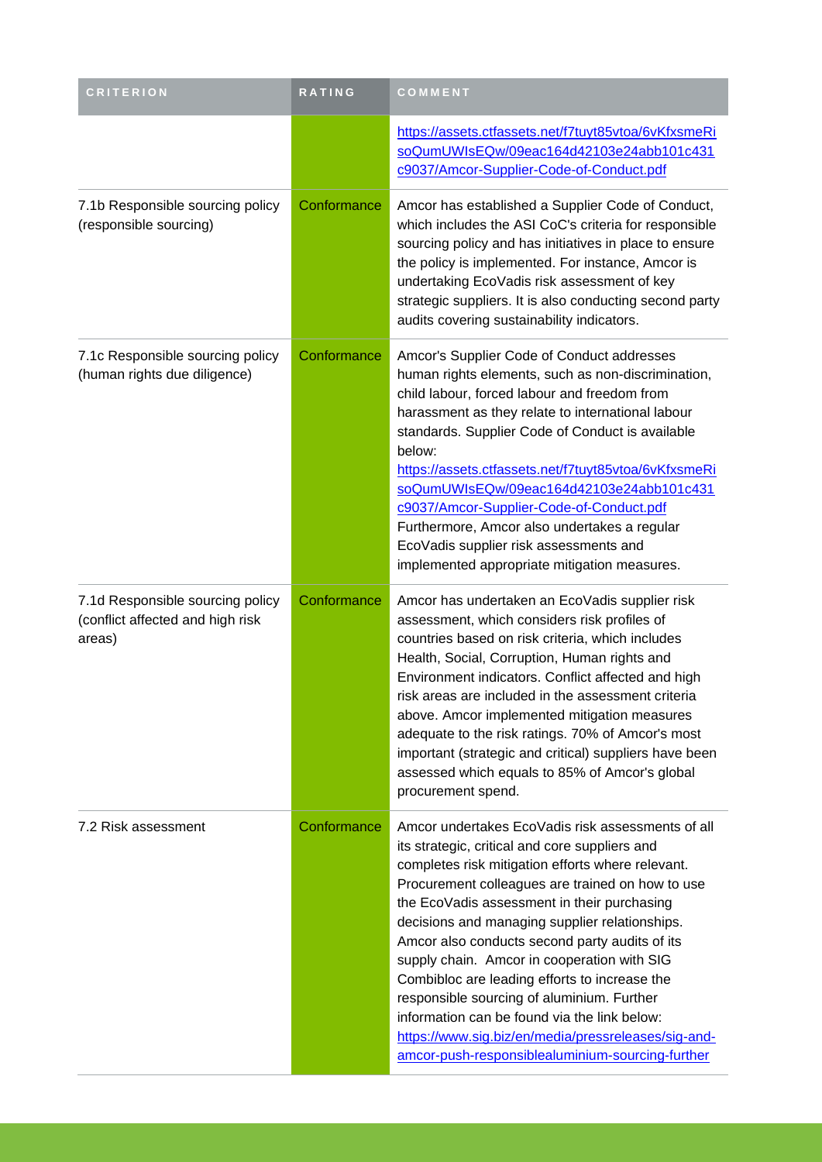| <b>CRITERION</b>                                                               | RATING      | COMMENT                                                                                                                                                                                                                                                                                                                                                                                                                                                                                                                                                                                                                                                                  |
|--------------------------------------------------------------------------------|-------------|--------------------------------------------------------------------------------------------------------------------------------------------------------------------------------------------------------------------------------------------------------------------------------------------------------------------------------------------------------------------------------------------------------------------------------------------------------------------------------------------------------------------------------------------------------------------------------------------------------------------------------------------------------------------------|
|                                                                                |             | https://assets.ctfassets.net/f7tuyt85vtoa/6vKfxsmeRi<br>soQumUWIsEQw/09eac164d42103e24abb101c431<br>c9037/Amcor-Supplier-Code-of-Conduct.pdf                                                                                                                                                                                                                                                                                                                                                                                                                                                                                                                             |
| 7.1b Responsible sourcing policy<br>(responsible sourcing)                     | Conformance | Amcor has established a Supplier Code of Conduct,<br>which includes the ASI CoC's criteria for responsible<br>sourcing policy and has initiatives in place to ensure<br>the policy is implemented. For instance, Amcor is<br>undertaking EcoVadis risk assessment of key<br>strategic suppliers. It is also conducting second party<br>audits covering sustainability indicators.                                                                                                                                                                                                                                                                                        |
| 7.1c Responsible sourcing policy<br>(human rights due diligence)               | Conformance | Amcor's Supplier Code of Conduct addresses<br>human rights elements, such as non-discrimination,<br>child labour, forced labour and freedom from<br>harassment as they relate to international labour<br>standards. Supplier Code of Conduct is available<br>below:<br>https://assets.ctfassets.net/f7tuyt85vtoa/6vKfxsmeRi<br>soQumUWIsEQw/09eac164d42103e24abb101c431<br>c9037/Amcor-Supplier-Code-of-Conduct.pdf<br>Furthermore, Amcor also undertakes a regular<br>EcoVadis supplier risk assessments and<br>implemented appropriate mitigation measures.                                                                                                            |
| 7.1d Responsible sourcing policy<br>(conflict affected and high risk<br>areas) | Conformance | Amcor has undertaken an EcoVadis supplier risk<br>assessment, which considers risk profiles of<br>countries based on risk criteria, which includes<br>Health, Social, Corruption, Human rights and<br>Environment indicators. Conflict affected and high<br>risk areas are included in the assessment criteria<br>above. Amcor implemented mitigation measures<br>adequate to the risk ratings. 70% of Amcor's most<br>important (strategic and critical) suppliers have been<br>assessed which equals to 85% of Amcor's global<br>procurement spend.                                                                                                                    |
| 7.2 Risk assessment                                                            | Conformance | Amcor undertakes EcoVadis risk assessments of all<br>its strategic, critical and core suppliers and<br>completes risk mitigation efforts where relevant.<br>Procurement colleagues are trained on how to use<br>the EcoVadis assessment in their purchasing<br>decisions and managing supplier relationships.<br>Amcor also conducts second party audits of its<br>supply chain. Amcor in cooperation with SIG<br>Combibloc are leading efforts to increase the<br>responsible sourcing of aluminium. Further<br>information can be found via the link below:<br>https://www.sig.biz/en/media/pressreleases/sig-and-<br>amcor-push-responsiblealuminium-sourcing-further |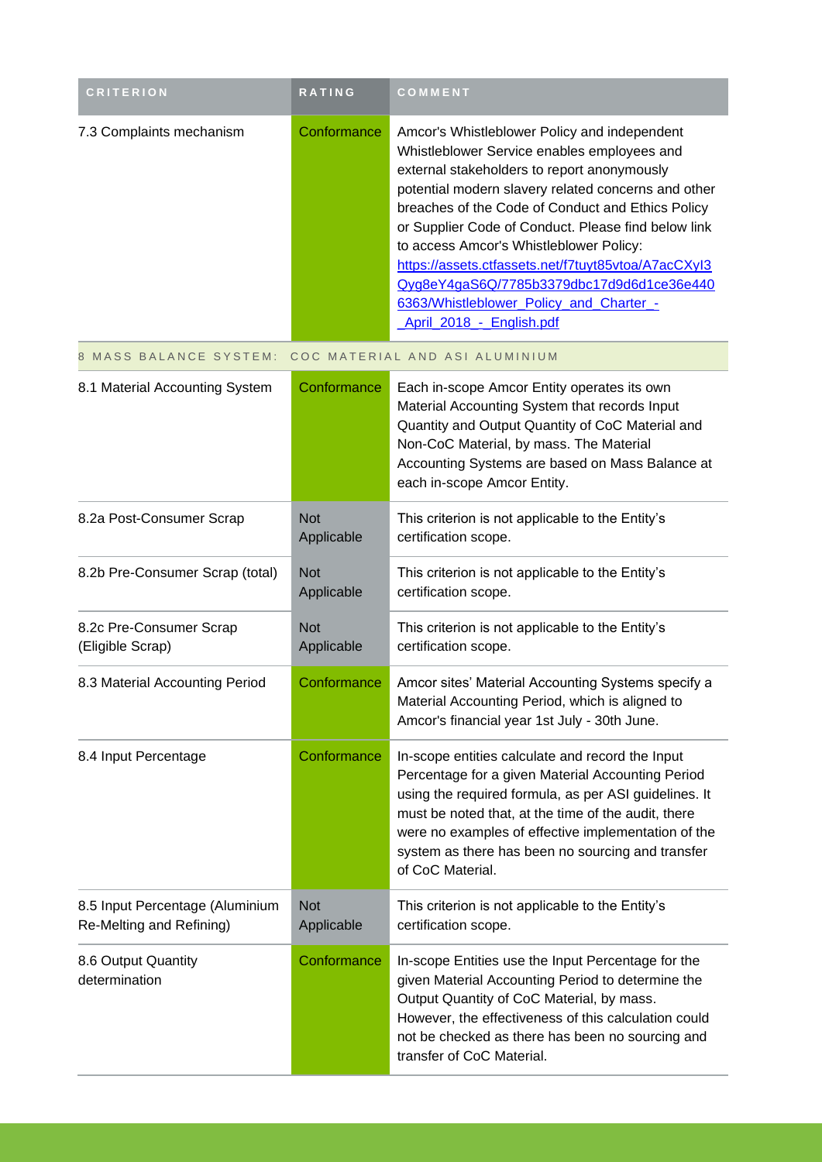| <b>CRITERION</b>                                            | RATING                   | COMMENT                                                                                                                                                                                                                                                                                                                                                                                                                                                                                                                             |
|-------------------------------------------------------------|--------------------------|-------------------------------------------------------------------------------------------------------------------------------------------------------------------------------------------------------------------------------------------------------------------------------------------------------------------------------------------------------------------------------------------------------------------------------------------------------------------------------------------------------------------------------------|
| 7.3 Complaints mechanism                                    | Conformance              | Amcor's Whistleblower Policy and independent<br>Whistleblower Service enables employees and<br>external stakeholders to report anonymously<br>potential modern slavery related concerns and other<br>breaches of the Code of Conduct and Ethics Policy<br>or Supplier Code of Conduct. Please find below link<br>to access Amcor's Whistleblower Policy:<br>https://assets.ctfassets.net/f7tuyt85vtoa/A7acCXyl3<br>Qyg8eY4gaS6Q/7785b3379dbc17d9d6d1ce36e440<br>6363/Whistleblower_Policy_and_Charter_-<br>April 2018 - English.pdf |
| 8 MASS BALANCE SYSTEM:                                      |                          | COC MATERIAL AND ASI ALUMINIUM                                                                                                                                                                                                                                                                                                                                                                                                                                                                                                      |
| 8.1 Material Accounting System                              | Conformance              | Each in-scope Amcor Entity operates its own<br>Material Accounting System that records Input<br>Quantity and Output Quantity of CoC Material and<br>Non-CoC Material, by mass. The Material<br>Accounting Systems are based on Mass Balance at<br>each in-scope Amcor Entity.                                                                                                                                                                                                                                                       |
| 8.2a Post-Consumer Scrap                                    | <b>Not</b><br>Applicable | This criterion is not applicable to the Entity's<br>certification scope.                                                                                                                                                                                                                                                                                                                                                                                                                                                            |
| 8.2b Pre-Consumer Scrap (total)                             | <b>Not</b><br>Applicable | This criterion is not applicable to the Entity's<br>certification scope.                                                                                                                                                                                                                                                                                                                                                                                                                                                            |
| 8.2c Pre-Consumer Scrap<br>(Eligible Scrap)                 | <b>Not</b><br>Applicable | This criterion is not applicable to the Entity's<br>certification scope.                                                                                                                                                                                                                                                                                                                                                                                                                                                            |
| 8.3 Material Accounting Period                              | Conformance              | Amcor sites' Material Accounting Systems specify a<br>Material Accounting Period, which is aligned to<br>Amcor's financial year 1st July - 30th June.                                                                                                                                                                                                                                                                                                                                                                               |
| 8.4 Input Percentage                                        | Conformance              | In-scope entities calculate and record the Input<br>Percentage for a given Material Accounting Period<br>using the required formula, as per ASI guidelines. It<br>must be noted that, at the time of the audit, there<br>were no examples of effective implementation of the<br>system as there has been no sourcing and transfer<br>of CoC Material.                                                                                                                                                                               |
| 8.5 Input Percentage (Aluminium<br>Re-Melting and Refining) | <b>Not</b><br>Applicable | This criterion is not applicable to the Entity's<br>certification scope.                                                                                                                                                                                                                                                                                                                                                                                                                                                            |
| 8.6 Output Quantity<br>determination                        | Conformance              | In-scope Entities use the Input Percentage for the<br>given Material Accounting Period to determine the<br>Output Quantity of CoC Material, by mass.<br>However, the effectiveness of this calculation could<br>not be checked as there has been no sourcing and<br>transfer of CoC Material.                                                                                                                                                                                                                                       |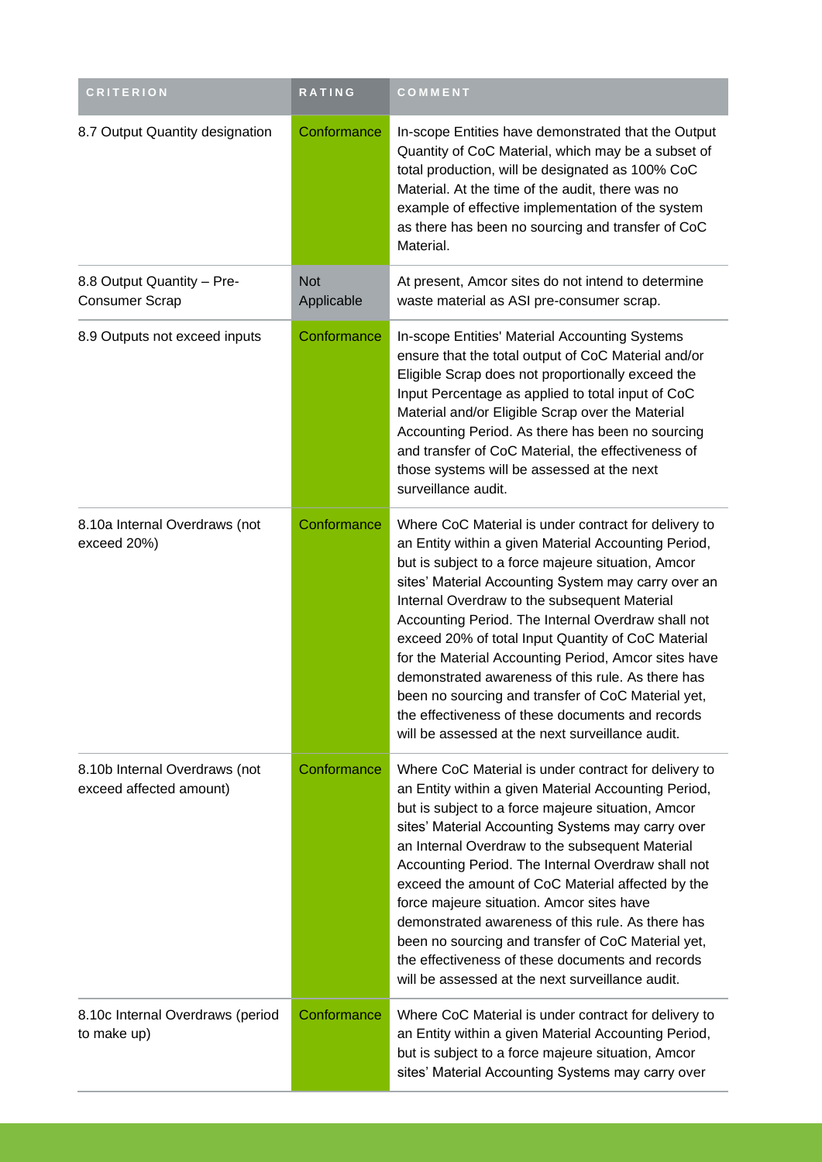| <b>CRITERION</b>                                         | <b>RATING</b>            | COMMENT                                                                                                                                                                                                                                                                                                                                                                                                                                                                                                                                                                                                                                                          |
|----------------------------------------------------------|--------------------------|------------------------------------------------------------------------------------------------------------------------------------------------------------------------------------------------------------------------------------------------------------------------------------------------------------------------------------------------------------------------------------------------------------------------------------------------------------------------------------------------------------------------------------------------------------------------------------------------------------------------------------------------------------------|
| 8.7 Output Quantity designation                          | Conformance              | In-scope Entities have demonstrated that the Output<br>Quantity of CoC Material, which may be a subset of<br>total production, will be designated as 100% CoC<br>Material. At the time of the audit, there was no<br>example of effective implementation of the system<br>as there has been no sourcing and transfer of CoC<br>Material.                                                                                                                                                                                                                                                                                                                         |
| 8.8 Output Quantity - Pre-<br><b>Consumer Scrap</b>      | <b>Not</b><br>Applicable | At present, Amcor sites do not intend to determine<br>waste material as ASI pre-consumer scrap.                                                                                                                                                                                                                                                                                                                                                                                                                                                                                                                                                                  |
| 8.9 Outputs not exceed inputs                            | Conformance              | In-scope Entities' Material Accounting Systems<br>ensure that the total output of CoC Material and/or<br>Eligible Scrap does not proportionally exceed the<br>Input Percentage as applied to total input of CoC<br>Material and/or Eligible Scrap over the Material<br>Accounting Period. As there has been no sourcing<br>and transfer of CoC Material, the effectiveness of<br>those systems will be assessed at the next<br>surveillance audit.                                                                                                                                                                                                               |
| 8.10a Internal Overdraws (not<br>exceed 20%)             | Conformance              | Where CoC Material is under contract for delivery to<br>an Entity within a given Material Accounting Period,<br>but is subject to a force majeure situation, Amcor<br>sites' Material Accounting System may carry over an<br>Internal Overdraw to the subsequent Material<br>Accounting Period. The Internal Overdraw shall not<br>exceed 20% of total Input Quantity of CoC Material<br>for the Material Accounting Period, Amcor sites have<br>demonstrated awareness of this rule. As there has<br>been no sourcing and transfer of CoC Material yet,<br>the effectiveness of these documents and records<br>will be assessed at the next surveillance audit. |
| 8.10b Internal Overdraws (not<br>exceed affected amount) | Conformance              | Where CoC Material is under contract for delivery to<br>an Entity within a given Material Accounting Period,<br>but is subject to a force majeure situation, Amcor<br>sites' Material Accounting Systems may carry over<br>an Internal Overdraw to the subsequent Material<br>Accounting Period. The Internal Overdraw shall not<br>exceed the amount of CoC Material affected by the<br>force majeure situation. Amcor sites have<br>demonstrated awareness of this rule. As there has<br>been no sourcing and transfer of CoC Material yet,<br>the effectiveness of these documents and records<br>will be assessed at the next surveillance audit.            |
| 8.10c Internal Overdraws (period<br>to make up)          | Conformance              | Where CoC Material is under contract for delivery to<br>an Entity within a given Material Accounting Period,<br>but is subject to a force majeure situation, Amcor<br>sites' Material Accounting Systems may carry over                                                                                                                                                                                                                                                                                                                                                                                                                                          |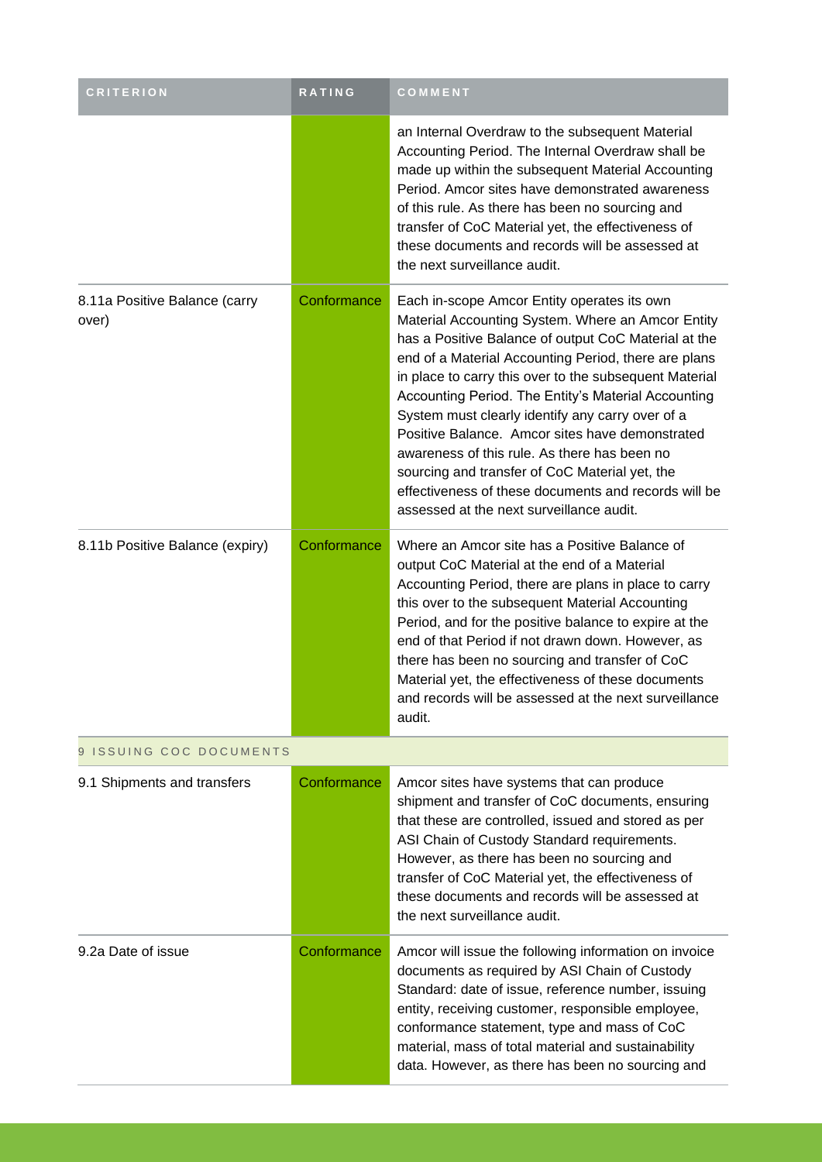| <b>CRITERION</b>                       | RATING      | COMMENT                                                                                                                                                                                                                                                                                                                                                                                                                                                                                                                                                                                                                                        |  |
|----------------------------------------|-------------|------------------------------------------------------------------------------------------------------------------------------------------------------------------------------------------------------------------------------------------------------------------------------------------------------------------------------------------------------------------------------------------------------------------------------------------------------------------------------------------------------------------------------------------------------------------------------------------------------------------------------------------------|--|
|                                        |             | an Internal Overdraw to the subsequent Material<br>Accounting Period. The Internal Overdraw shall be<br>made up within the subsequent Material Accounting<br>Period. Amcor sites have demonstrated awareness<br>of this rule. As there has been no sourcing and<br>transfer of CoC Material yet, the effectiveness of<br>these documents and records will be assessed at<br>the next surveillance audit.                                                                                                                                                                                                                                       |  |
| 8.11a Positive Balance (carry<br>over) | Conformance | Each in-scope Amcor Entity operates its own<br>Material Accounting System. Where an Amcor Entity<br>has a Positive Balance of output CoC Material at the<br>end of a Material Accounting Period, there are plans<br>in place to carry this over to the subsequent Material<br>Accounting Period. The Entity's Material Accounting<br>System must clearly identify any carry over of a<br>Positive Balance. Amcor sites have demonstrated<br>awareness of this rule. As there has been no<br>sourcing and transfer of CoC Material yet, the<br>effectiveness of these documents and records will be<br>assessed at the next surveillance audit. |  |
| 8.11b Positive Balance (expiry)        | Conformance | Where an Amcor site has a Positive Balance of<br>output CoC Material at the end of a Material<br>Accounting Period, there are plans in place to carry<br>this over to the subsequent Material Accounting<br>Period, and for the positive balance to expire at the<br>end of that Period if not drawn down. However, as<br>there has been no sourcing and transfer of CoC<br>Material yet, the effectiveness of these documents<br>and records will be assessed at the next surveillance<br>audit.                                                                                                                                              |  |
| 9 ISSUING COC DOCUMENTS                |             |                                                                                                                                                                                                                                                                                                                                                                                                                                                                                                                                                                                                                                                |  |
| 9.1 Shipments and transfers            | Conformance | Amcor sites have systems that can produce<br>shipment and transfer of CoC documents, ensuring<br>that these are controlled, issued and stored as per<br>ASI Chain of Custody Standard requirements.<br>However, as there has been no sourcing and<br>transfer of CoC Material yet, the effectiveness of<br>these documents and records will be assessed at<br>the next surveillance audit.                                                                                                                                                                                                                                                     |  |
| 9.2a Date of issue                     | Conformance | Amcor will issue the following information on invoice<br>documents as required by ASI Chain of Custody<br>Standard: date of issue, reference number, issuing<br>entity, receiving customer, responsible employee,<br>conformance statement, type and mass of CoC<br>material, mass of total material and sustainability<br>data. However, as there has been no sourcing and                                                                                                                                                                                                                                                                    |  |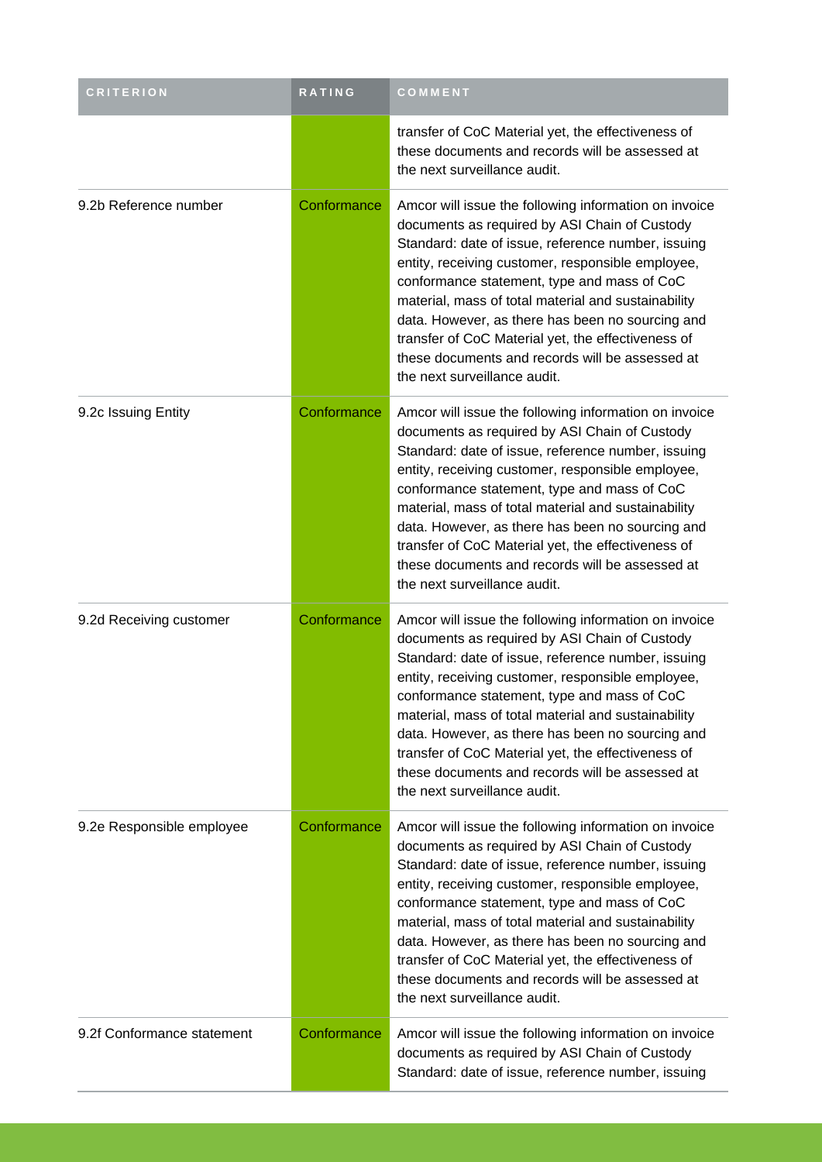| <b>CRITERION</b>           | RATING      | COMMENT                                                                                                                                                                                                                                                                                                                                                                                                                                                                                                              |
|----------------------------|-------------|----------------------------------------------------------------------------------------------------------------------------------------------------------------------------------------------------------------------------------------------------------------------------------------------------------------------------------------------------------------------------------------------------------------------------------------------------------------------------------------------------------------------|
|                            |             | transfer of CoC Material yet, the effectiveness of<br>these documents and records will be assessed at<br>the next surveillance audit.                                                                                                                                                                                                                                                                                                                                                                                |
| 9.2b Reference number      | Conformance | Amcor will issue the following information on invoice<br>documents as required by ASI Chain of Custody<br>Standard: date of issue, reference number, issuing<br>entity, receiving customer, responsible employee,<br>conformance statement, type and mass of CoC<br>material, mass of total material and sustainability<br>data. However, as there has been no sourcing and<br>transfer of CoC Material yet, the effectiveness of<br>these documents and records will be assessed at<br>the next surveillance audit. |
| 9.2c Issuing Entity        | Conformance | Amcor will issue the following information on invoice<br>documents as required by ASI Chain of Custody<br>Standard: date of issue, reference number, issuing<br>entity, receiving customer, responsible employee,<br>conformance statement, type and mass of CoC<br>material, mass of total material and sustainability<br>data. However, as there has been no sourcing and<br>transfer of CoC Material yet, the effectiveness of<br>these documents and records will be assessed at<br>the next surveillance audit. |
| 9.2d Receiving customer    | Conformance | Amcor will issue the following information on invoice<br>documents as required by ASI Chain of Custody<br>Standard: date of issue, reference number, issuing<br>entity, receiving customer, responsible employee,<br>conformance statement, type and mass of CoC<br>material, mass of total material and sustainability<br>data. However, as there has been no sourcing and<br>transfer of CoC Material yet, the effectiveness of<br>these documents and records will be assessed at<br>the next surveillance audit. |
| 9.2e Responsible employee  | Conformance | Amcor will issue the following information on invoice<br>documents as required by ASI Chain of Custody<br>Standard: date of issue, reference number, issuing<br>entity, receiving customer, responsible employee,<br>conformance statement, type and mass of CoC<br>material, mass of total material and sustainability<br>data. However, as there has been no sourcing and<br>transfer of CoC Material yet, the effectiveness of<br>these documents and records will be assessed at<br>the next surveillance audit. |
| 9.2f Conformance statement | Conformance | Amcor will issue the following information on invoice<br>documents as required by ASI Chain of Custody<br>Standard: date of issue, reference number, issuing                                                                                                                                                                                                                                                                                                                                                         |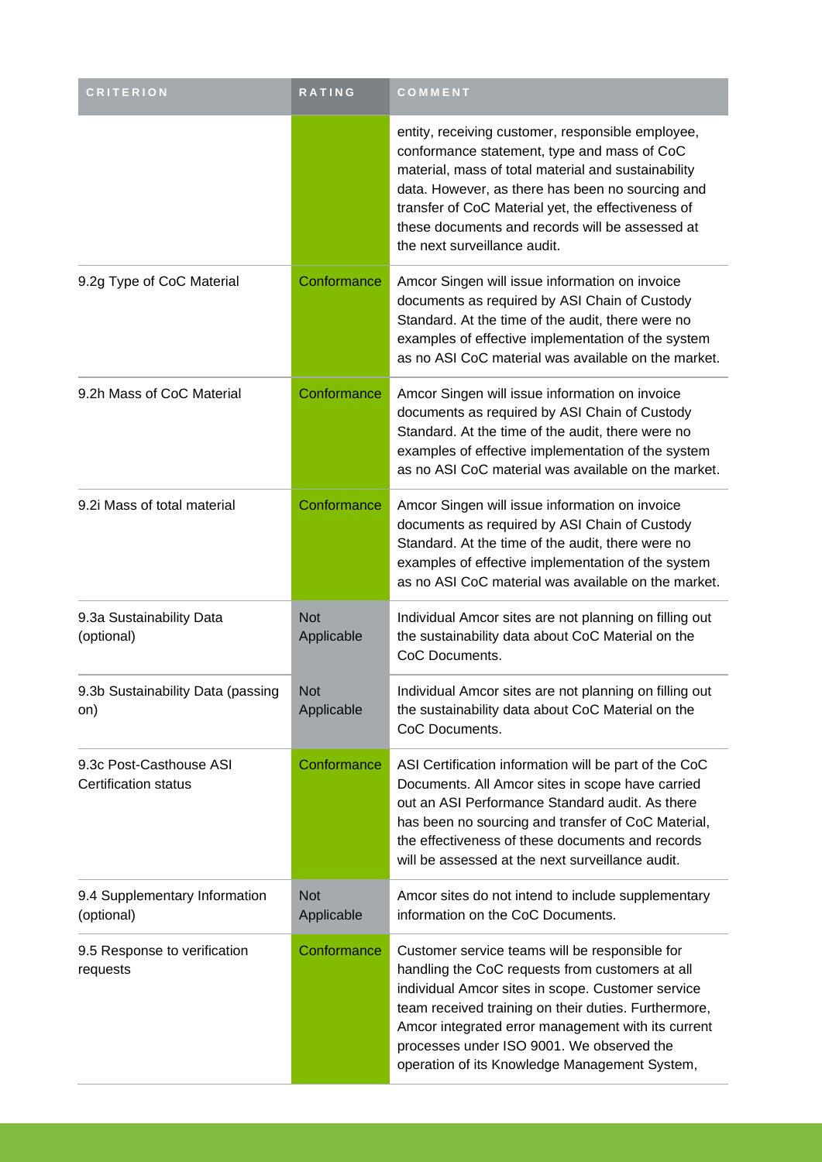| <b>CRITERION</b>                                       | RATING                   | COMMENT                                                                                                                                                                                                                                                                                                                                                            |
|--------------------------------------------------------|--------------------------|--------------------------------------------------------------------------------------------------------------------------------------------------------------------------------------------------------------------------------------------------------------------------------------------------------------------------------------------------------------------|
|                                                        |                          | entity, receiving customer, responsible employee,<br>conformance statement, type and mass of CoC<br>material, mass of total material and sustainability<br>data. However, as there has been no sourcing and<br>transfer of CoC Material yet, the effectiveness of<br>these documents and records will be assessed at<br>the next surveillance audit.               |
| 9.2g Type of CoC Material                              | Conformance              | Amcor Singen will issue information on invoice<br>documents as required by ASI Chain of Custody<br>Standard. At the time of the audit, there were no<br>examples of effective implementation of the system<br>as no ASI CoC material was available on the market.                                                                                                  |
| 9.2h Mass of CoC Material                              | Conformance              | Amcor Singen will issue information on invoice<br>documents as required by ASI Chain of Custody<br>Standard. At the time of the audit, there were no<br>examples of effective implementation of the system<br>as no ASI CoC material was available on the market.                                                                                                  |
| 9.2i Mass of total material                            | Conformance              | Amcor Singen will issue information on invoice<br>documents as required by ASI Chain of Custody<br>Standard. At the time of the audit, there were no<br>examples of effective implementation of the system<br>as no ASI CoC material was available on the market.                                                                                                  |
| 9.3a Sustainability Data<br>(optional)                 | <b>Not</b><br>Applicable | Individual Amcor sites are not planning on filling out<br>the sustainability data about CoC Material on the<br>CoC Documents.                                                                                                                                                                                                                                      |
| 9.3b Sustainability Data (passing<br>on)               | <b>Not</b><br>Applicable | Individual Amcor sites are not planning on filling out<br>the sustainability data about CoC Material on the<br>CoC Documents.                                                                                                                                                                                                                                      |
| 9.3c Post-Casthouse ASI<br><b>Certification status</b> | Conformance              | ASI Certification information will be part of the CoC<br>Documents. All Amcor sites in scope have carried<br>out an ASI Performance Standard audit. As there<br>has been no sourcing and transfer of CoC Material,<br>the effectiveness of these documents and records<br>will be assessed at the next surveillance audit.                                         |
| 9.4 Supplementary Information<br>(optional)            | <b>Not</b><br>Applicable | Amcor sites do not intend to include supplementary<br>information on the CoC Documents.                                                                                                                                                                                                                                                                            |
| 9.5 Response to verification<br>requests               | Conformance              | Customer service teams will be responsible for<br>handling the CoC requests from customers at all<br>individual Amcor sites in scope. Customer service<br>team received training on their duties. Furthermore,<br>Amcor integrated error management with its current<br>processes under ISO 9001. We observed the<br>operation of its Knowledge Management System, |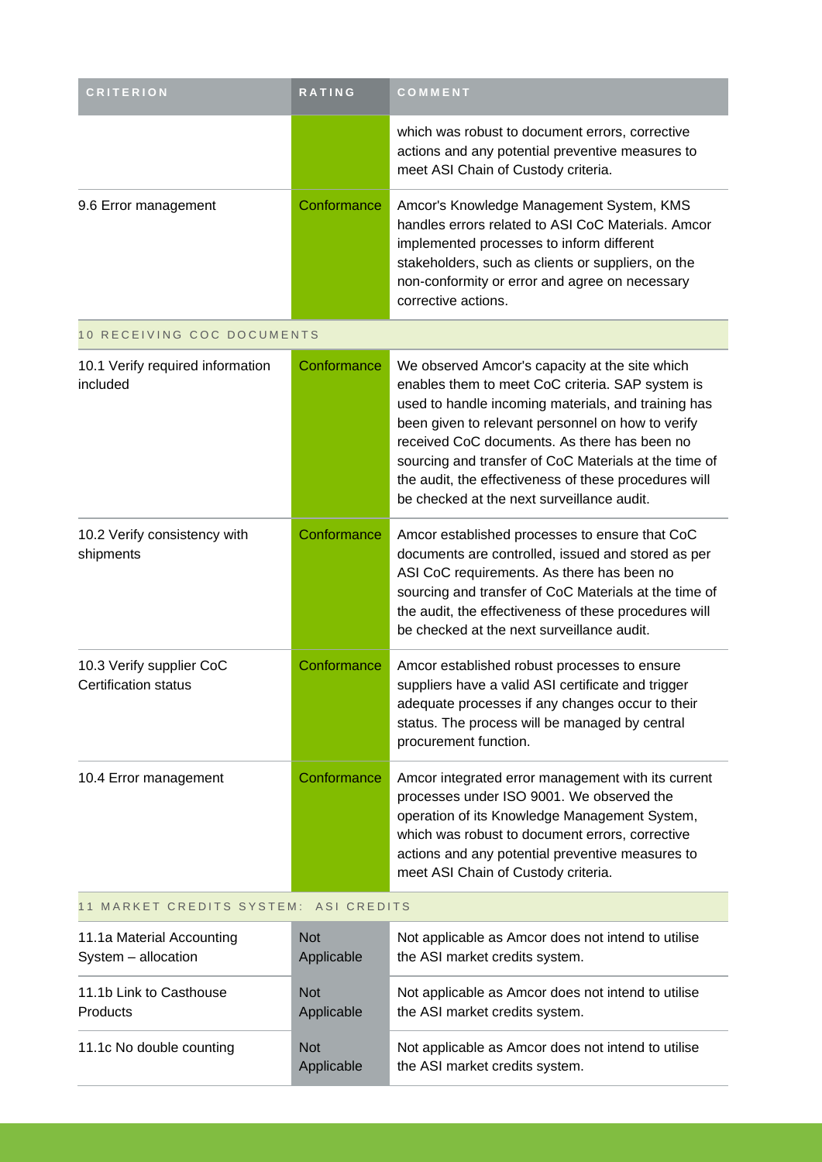| RATING      | COMMENT                                                                                                                                                                                                                                                                                                                                                                                                                        |
|-------------|--------------------------------------------------------------------------------------------------------------------------------------------------------------------------------------------------------------------------------------------------------------------------------------------------------------------------------------------------------------------------------------------------------------------------------|
|             | which was robust to document errors, corrective<br>actions and any potential preventive measures to<br>meet ASI Chain of Custody criteria.                                                                                                                                                                                                                                                                                     |
| Conformance | Amcor's Knowledge Management System, KMS<br>handles errors related to ASI CoC Materials. Amcor<br>implemented processes to inform different<br>stakeholders, such as clients or suppliers, on the<br>non-conformity or error and agree on necessary<br>corrective actions.                                                                                                                                                     |
|             |                                                                                                                                                                                                                                                                                                                                                                                                                                |
| Conformance | We observed Amcor's capacity at the site which<br>enables them to meet CoC criteria. SAP system is<br>used to handle incoming materials, and training has<br>been given to relevant personnel on how to verify<br>received CoC documents. As there has been no<br>sourcing and transfer of CoC Materials at the time of<br>the audit, the effectiveness of these procedures will<br>be checked at the next surveillance audit. |
| Conformance | Amcor established processes to ensure that CoC<br>documents are controlled, issued and stored as per<br>ASI CoC requirements. As there has been no<br>sourcing and transfer of CoC Materials at the time of<br>the audit, the effectiveness of these procedures will<br>be checked at the next surveillance audit.                                                                                                             |
| Conformance | Amcor established robust processes to ensure<br>suppliers have a valid ASI certificate and trigger<br>adequate processes if any changes occur to their<br>status. The process will be managed by central<br>procurement function.                                                                                                                                                                                              |
| Conformance | Amcor integrated error management with its current<br>processes under ISO 9001. We observed the<br>operation of its Knowledge Management System,<br>which was robust to document errors, corrective<br>actions and any potential preventive measures to<br>meet ASI Chain of Custody criteria.                                                                                                                                 |
|             | 10 RECEIVING COC DOCUMENTS<br>11 MARKET CREDITS SYSTEM: ASI CREDITS                                                                                                                                                                                                                                                                                                                                                            |

| 11.1a Material Accounting | <b>Not</b>               | Not applicable as Amcor does not intend to utilise                                   |
|---------------------------|--------------------------|--------------------------------------------------------------------------------------|
| System - allocation       | Applicable               | the ASI market credits system.                                                       |
| 11.1b Link to Casthouse   | <b>Not</b>               | Not applicable as Amcor does not intend to utilise                                   |
| <b>Products</b>           | Applicable               | the ASI market credits system.                                                       |
| 11.1c No double counting  | <b>Not</b><br>Applicable | Not applicable as Amcor does not intend to utilise<br>the ASI market credits system. |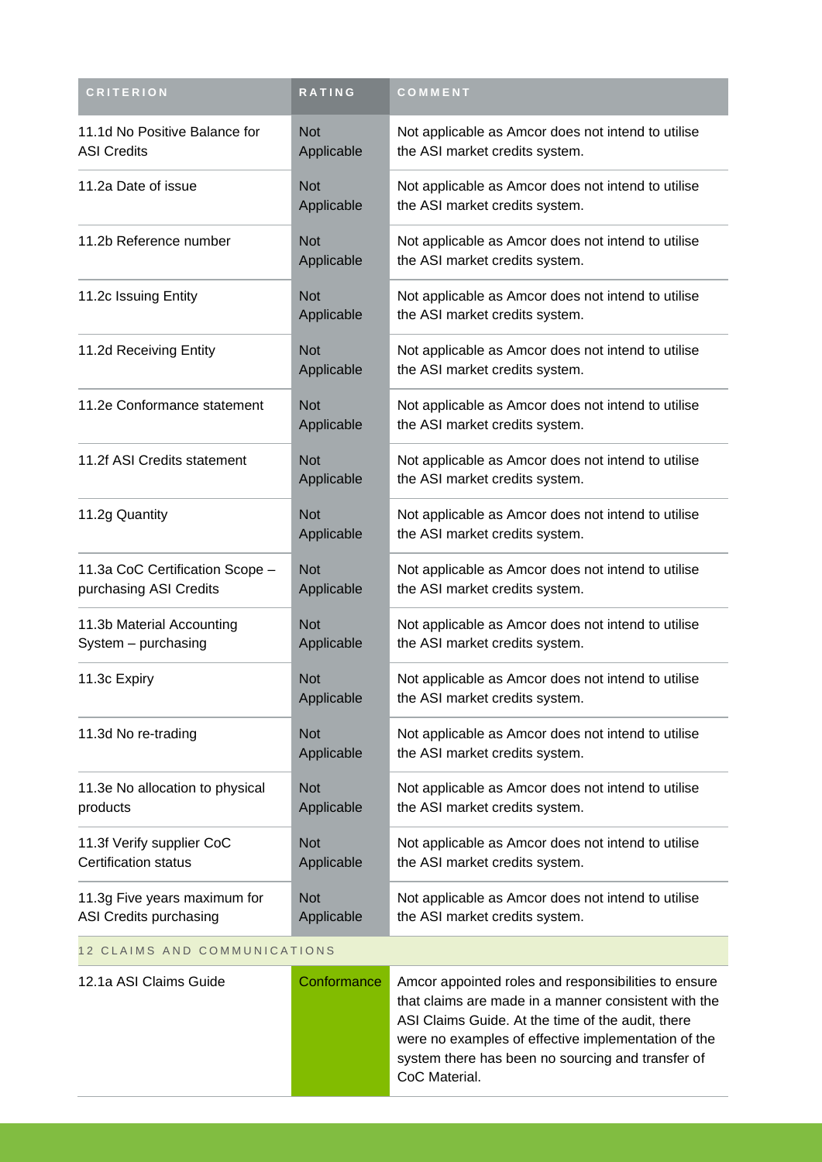| <b>CRITERION</b>                                          | RATING                   | COMMENT                                                                              |
|-----------------------------------------------------------|--------------------------|--------------------------------------------------------------------------------------|
| 11.1d No Positive Balance for<br><b>ASI Credits</b>       | <b>Not</b><br>Applicable | Not applicable as Amcor does not intend to utilise<br>the ASI market credits system. |
| 11.2a Date of issue                                       | <b>Not</b><br>Applicable | Not applicable as Amcor does not intend to utilise<br>the ASI market credits system. |
| 11.2b Reference number                                    | <b>Not</b><br>Applicable | Not applicable as Amcor does not intend to utilise<br>the ASI market credits system. |
| 11.2c Issuing Entity                                      | <b>Not</b><br>Applicable | Not applicable as Amcor does not intend to utilise<br>the ASI market credits system. |
| 11.2d Receiving Entity                                    | <b>Not</b><br>Applicable | Not applicable as Amcor does not intend to utilise<br>the ASI market credits system. |
| 11.2e Conformance statement                               | <b>Not</b><br>Applicable | Not applicable as Amcor does not intend to utilise<br>the ASI market credits system. |
| 11.2f ASI Credits statement                               | <b>Not</b><br>Applicable | Not applicable as Amcor does not intend to utilise<br>the ASI market credits system. |
| 11.2g Quantity                                            | <b>Not</b><br>Applicable | Not applicable as Amcor does not intend to utilise<br>the ASI market credits system. |
| 11.3a CoC Certification Scope -<br>purchasing ASI Credits | <b>Not</b><br>Applicable | Not applicable as Amcor does not intend to utilise<br>the ASI market credits system. |
| 11.3b Material Accounting<br>System - purchasing          | <b>Not</b><br>Applicable | Not applicable as Amcor does not intend to utilise<br>the ASI market credits system. |
| 11.3c Expiry                                              | <b>Not</b><br>Applicable | Not applicable as Amcor does not intend to utilise<br>the ASI market credits system. |
| 11.3d No re-trading                                       | <b>Not</b><br>Applicable | Not applicable as Amcor does not intend to utilise<br>the ASI market credits system. |
| 11.3e No allocation to physical<br>products               | <b>Not</b><br>Applicable | Not applicable as Amcor does not intend to utilise<br>the ASI market credits system. |
| 11.3f Verify supplier CoC<br><b>Certification status</b>  | <b>Not</b><br>Applicable | Not applicable as Amcor does not intend to utilise<br>the ASI market credits system. |
| 11.3g Five years maximum for<br>ASI Credits purchasing    | <b>Not</b><br>Applicable | Not applicable as Amcor does not intend to utilise<br>the ASI market credits system. |
| 12 CLAIMS AND COMMUNICATIONS                              |                          |                                                                                      |

| 12.1a ASI Claims Guide | Conformance | Amcor appointed roles and responsibilities to ensure<br>that claims are made in a manner consistent with the<br>ASI Claims Guide. At the time of the audit, there |
|------------------------|-------------|-------------------------------------------------------------------------------------------------------------------------------------------------------------------|
|                        |             | were no examples of effective implementation of the<br>system there has been no sourcing and transfer of<br>CoC Material.                                         |